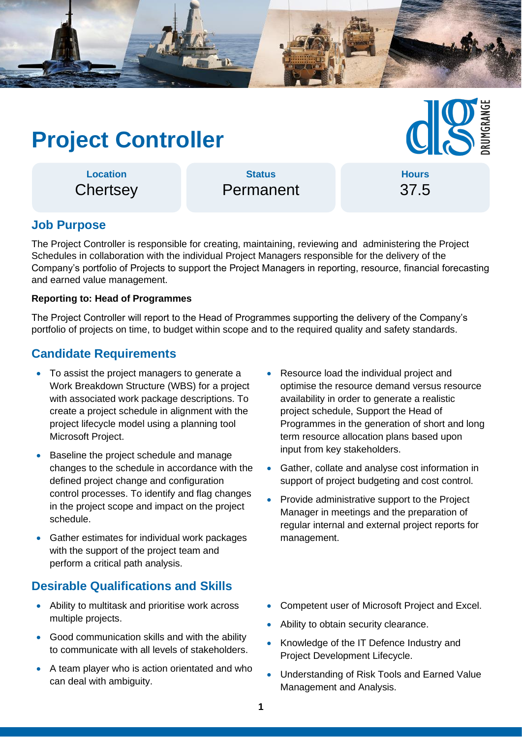

# **Project Controller**

## **Hours** 37.5

**Location Chertsey** 

**Status** Permanent

## **Job Purpose**

The Project Controller is responsible for creating, maintaining, reviewing and administering the Project Schedules in collaboration with the individual Project Managers responsible for the delivery of the Company's portfolio of Projects to support the Project Managers in reporting, resource, financial forecasting and earned value management.

#### **Reporting to: Head of Programmes**

The Project Controller will report to the Head of Programmes supporting the delivery of the Company's portfolio of projects on time, to budget within scope and to the required quality and safety standards.

## **Candidate Requirements**

- To assist the project managers to generate a Work Breakdown Structure (WBS) for a project with associated work package descriptions. To create a project schedule in alignment with the project lifecycle model using a planning tool Microsoft Project.
- Baseline the project schedule and manage changes to the schedule in accordance with the defined project change and configuration control processes. To identify and flag changes in the project scope and impact on the project schedule.
- Gather estimates for individual work packages with the support of the project team and perform a critical path analysis.

### **Desirable Qualifications and Skills**

- Ability to multitask and prioritise work across multiple projects.
- Good communication skills and with the ability to communicate with all levels of stakeholders.
- A team player who is action orientated and who can deal with ambiguity.
- Resource load the individual project and optimise the resource demand versus resource availability in order to generate a realistic project schedule, Support the Head of Programmes in the generation of short and long term resource allocation plans based upon input from key stakeholders.
- Gather, collate and analyse cost information in support of project budgeting and cost control.
- Provide administrative support to the Project Manager in meetings and the preparation of regular internal and external project reports for management.
- Competent user of Microsoft Project and Excel.
- Ability to obtain security clearance.
- Knowledge of the IT Defence Industry and Project Development Lifecycle.
- Understanding of Risk Tools and Earned Value Management and Analysis.